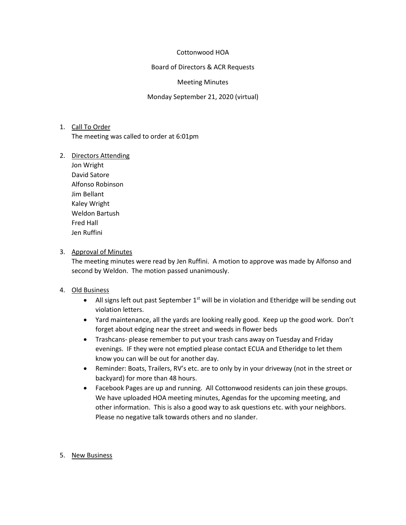## Cottonwood HOA

## Board of Directors & ACR Requests

## Meeting Minutes

## Monday September 21, 2020 (virtual)

# 1. Call To Order The meeting was called to order at 6:01pm

#### 2. Directors Attending

Jon Wright David Satore Alfonso Robinson Jim Bellant Kaley Wright Weldon Bartush Fred Hall Jen Ruffini

## 3. Approval of Minutes

The meeting minutes were read by Jen Ruffini. A motion to approve was made by Alfonso and second by Weldon. The motion passed unanimously.

# 4. Old Business

- All signs left out past September  $1<sup>st</sup>$  will be in violation and Etheridge will be sending out violation letters.
- Yard maintenance, all the yards are looking really good. Keep up the good work. Don't forget about edging near the street and weeds in flower beds
- Trashcans- please remember to put your trash cans away on Tuesday and Friday evenings. IF they were not emptied please contact ECUA and Etheridge to let them know you can will be out for another day.
- Reminder: Boats, Trailers, RV's etc. are to only by in your driveway (not in the street or backyard) for more than 48 hours.
- Facebook Pages are up and running. All Cottonwood residents can join these groups. We have uploaded HOA meeting minutes, Agendas for the upcoming meeting, and other information. This is also a good way to ask questions etc. with your neighbors. Please no negative talk towards others and no slander.

## 5. New Business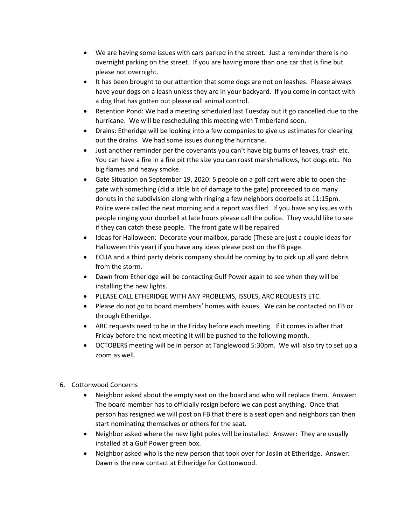- We are having some issues with cars parked in the street. Just a reminder there is no overnight parking on the street. If you are having more than one car that is fine but please not overnight.
- It has been brought to our attention that some dogs are not on leashes. Please always have your dogs on a leash unless they are in your backyard. If you come in contact with a dog that has gotten out please call animal control.
- Retention Pond: We had a meeting scheduled last Tuesday but it go cancelled due to the hurricane. We will be rescheduling this meeting with Timberland soon.
- Drains: Etheridge will be looking into a few companies to give us estimates for cleaning out the drains. We had some issues during the hurricane.
- Just another reminder per the covenants you can't have big burns of leaves, trash etc. You can have a fire in a fire pit (the size you can roast marshmallows, hot dogs etc. No big flames and heavy smoke.
- Gate Situation on September 19, 2020: 5 people on a golf cart were able to open the gate with something (did a little bit of damage to the gate) proceeded to do many donuts in the subdivision along with ringing a few neighbors doorbells at 11:15pm. Police were called the next morning and a report was filed. If you have any issues with people ringing your doorbell at late hours please call the police. They would like to see if they can catch these people. The front gate will be repaired
- Ideas for Halloween: Decorate your mailbox, parade (These are just a couple ideas for Halloween this year) if you have any ideas please post on the FB page.
- ECUA and a third party debris company should be coming by to pick up all yard debris from the storm.
- Dawn from Etheridge will be contacting Gulf Power again to see when they will be installing the new lights.
- PLEASE CALL ETHERIDGE WITH ANY PROBLEMS, ISSUES, ARC REQUESTS ETC.
- Please do not go to board members' homes with issues. We can be contacted on FB or through Etheridge.
- ARC requests need to be in the Friday before each meeting. If it comes in after that Friday before the next meeting it will be pushed to the following month.
- OCTOBERS meeting will be in person at Tanglewood 5:30pm. We will also try to set up a zoom as well.
- 6. Cottonwood Concerns
	- Neighbor asked about the empty seat on the board and who will replace them. Answer: The board member has to officially resign before we can post anything. Once that person has resigned we will post on FB that there is a seat open and neighbors can then start nominating themselves or others for the seat.
	- Neighbor asked where the new light poles will be installed. Answer: They are usually installed at a Gulf Power green box.
	- Neighbor asked who is the new person that took over for Joslin at Etheridge. Answer: Dawn is the new contact at Etheridge for Cottonwood.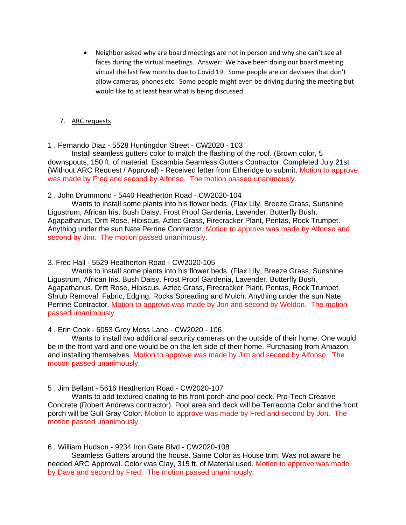• Neighbor asked why are board meetings are not in person and why she can't see all faces during the virtual meetings. Answer: We have been doing our board meeting virtual the last few months due to Covid 19. Some people are on devisees that don't allow cameras, phones etc. Some people might even be driving during the meeting but would like to at least hear what is being discussed.

## 7. ARC requests

# 1 . Fernando Diaz - 5528 Huntingdon Street - CW2020 - 103

Install seamless gutters color to match the flashing of the roof. (Brown color, 5 downspouts, 150 ft. of material. Escambia Seamless Gutters Contractor. Completed July 21st (Without ARC Request / Approval) - Received letter from Etheridge to submit. Motion to approve was made by Fred and second by Alfonso. The motion passed unanimously.

# 2 . John Drummond - 5440 Heatherton Road - CW2020-104

Wants to install some plants into his flower beds. (Flax Lily, Breeze Grass, Sunshine Ligustrum, African Iris, Bush Daisy, Frost Proof Gardenia, Lavender, Butterfly Bush, Agapathanus, Drift Rose, Hibiscus, Aztec Grass, Firecracker Plant, Pentas, Rock Trumpet. Anything under the sun Nate Perrine Contractor. Motion to approve was made by Alfonso and second by Jim. The motion passed unanimously.

# 3. Fred Hall - 5529 Heatherton Road - CW2020-105

Wants to install some plants into his flower beds. (Flax Lily, Breeze Grass, Sunshine Ligustrum, African Iris, Bush Daisy, Frost Proof Gardenia, Lavender, Butterfly Bush, Agapathanus, Drift Rose, Hibiscus, Aztec Grass, Firecracker Plant, Pentas, Rock Trumpet. Shrub Removal, Fabric, Edging, Rocks Spreading and Mulch. Anything under the sun Nate Perrine Contractor. Motion to approve was made by Jon and second by Weldon. The motion passed unanimously.

4 . Erin Cook - 6053 Grey Moss Lane - CW2020 - 106

Wants to install two additional security cameras on the outside of their home. One would be in the front yard and one would be on the left side of their home. Purchasing from Amazon and installing themselves. Motion to approve was made by Jim and second by Alfonso. The motion passed unanimously.

# 5 . Jim Bellant - 5616 Heatherton Road - CW2020-107

Wants to add textured coating to his front porch and pool deck. Pro-Tech Creative Concrete (Robert Andrews contractor). Pool area and deck will be Terracotta Color and the front porch will be Gull Gray Color. Motion to approve was made by Fred and second by Jon. The motion passed unanimously.

## 6 . William Hudson - 9234 Iron Gate Blvd - CW2020-108

Seamless Gutters around the house. Same Color as House trim. Was not aware he needed ARC Approval. Color was Clay, 315 ft. of Material used. Motion to approve was made by Dave and second by Fred. The motion passed unanimously.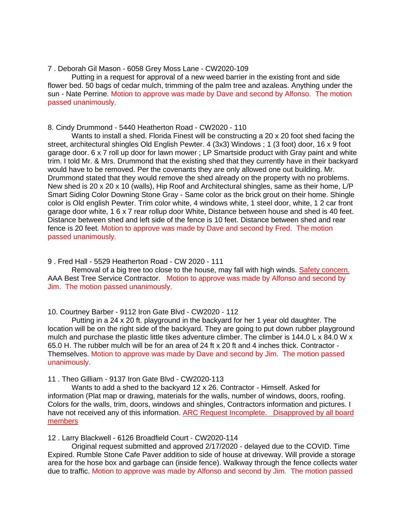#### 7 . Deborah Gil Mason - 6058 Grey Moss Lane - CW2020-109

Putting in a request for approval of a new weed barrier in the existing front and side flower bed. 50 bags of cedar mulch, trimming of the palm tree and azaleas. Anything under the sun - Nate Perrine. Motion to approve was made by Dave and second by Alfonso. The motion passed unanimously.

## 8. Cindy Drummond - 5440 Heatherton Road - CW2020 - 110

Wants to install a shed. Florida Finest will be constructing a 20 x 20 foot shed facing the street, architectural shingles Old English Pewter. 4 (3x3) Windows ; 1 (3 foot) door, 16 x 9 foot garage door. 6 x 7 roll up door for lawn mower ; LP Smartside product with Gray paint and white trim. I told Mr. & Mrs. Drummond that the existing shed that they currently have in their backyard would have to be removed. Per the covenants they are only allowed one out building. Mr. Drummond stated that they would remove the shed already on the property with no problems. New shed is 20 x 20 x 10 (walls), Hip Roof and Architectural shingles, same as their home, L/P Smart Siding Color Downing Stone Gray - Same color as the brick grout on their home. Shingle color is Old english Pewter. Trim color white, 4 windows white, 1 steel door, white, 1 2 car front garage door white, 1 6 x 7 rear rollup door White, Distance between house and shed is 40 feet. Distance between shed and left side of the fence is 10 feet. Distance between shed and rear fence is 20 feet. Motion to approve was made by Dave and second by Fred. The motion passed unanimously.

#### 9 . Fred Hall - 5529 Heatherton Road - CW 2020 - 111

Removal of a big tree too close to the house, may fall with high winds. Safety concern. AAA Best Tree Service Contractor. Motion to approve was made by Alfonso and second by Jim. The motion passed unanimously.

#### 10. Courtney Barber - 9112 Iron Gate Blvd - CW2020 - 112

Putting in a 24 x 20 ft. playground in the backyard for her 1 year old daughter. The location will be on the right side of the backyard. They are going to put down rubber playground mulch and purchase the plastic little tikes adventure climber. The climber is 144.0 L x 84.0 W x 65.0 H. The rubber mulch will be for an area of 24 ft x 20 ft and 4 inches thick. Contractor - Themselves. Motion to approve was made by Dave and second by Jim. The motion passed unanimously.

# 11 . Theo Gilliam - 9137 Iron Gate Blvd - CW2020-113

Wants to add a shed to the backyard 12 x 26. Contractor - Himself. Asked for information (Plat map or drawing, materials for the walls, number of windows, doors, roofing. Colors for the walls, trim, doors, windows and shingles, Contractors information and pictures. I have not received any of this information. ARC Request Incomplete. Disapproved by all board members

12 . Larry Blackwell - 6126 Broadfield Court - CW2020-114

Original request submitted and approved 2/17/2020 - delayed due to the COVID. Time Expired. Rumble Stone Cafe Paver addition to side of house at driveway. Will provide a storage area for the hose box and garbage can (inside fence). Walkway through the fence collects water due to traffic. Motion to approve was made by Alfonso and second by Jim. The motion passed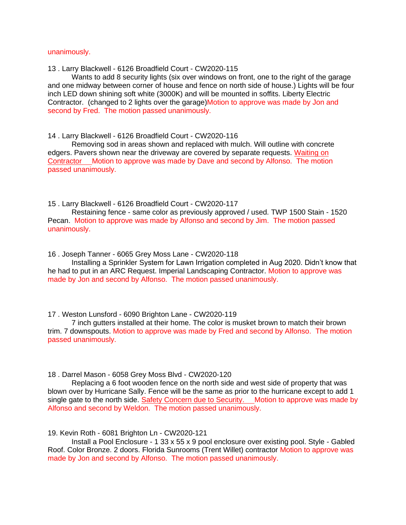#### unanimously.

13 . Larry Blackwell - 6126 Broadfield Court - CW2020-115

Wants to add 8 security lights (six over windows on front, one to the right of the garage and one midway between corner of house and fence on north side of house.) Lights will be four inch LED down shining soft white (3000K) and will be mounted in soffits. Liberty Electric Contractor. (changed to 2 lights over the garage)Motion to approve was made by Jon and second by Fred. The motion passed unanimously.

14 . Larry Blackwell - 6126 Broadfield Court - CW2020-116

Removing sod in areas shown and replaced with mulch. Will outline with concrete edgers. Pavers shown near the driveway are covered by separate requests. Waiting on Contractor Motion to approve was made by Dave and second by Alfonso. The motion passed unanimously.

15 . Larry Blackwell - 6126 Broadfield Court - CW2020-117

Restaining fence - same color as previously approved / used. TWP 1500 Stain - 1520 Pecan. Motion to approve was made by Alfonso and second by Jim. The motion passed unanimously.

16 . Joseph Tanner - 6065 Grey Moss Lane - CW2020-118

Installing a Sprinkler System for Lawn Irrigation completed in Aug 2020. Didn't know that he had to put in an ARC Request. Imperial Landscaping Contractor. Motion to approve was made by Jon and second by Alfonso. The motion passed unanimously.

17 . Weston Lunsford - 6090 Brighton Lane - CW2020-119

7 inch gutters installed at their home. The color is musket brown to match their brown trim. 7 downspouts. Motion to approve was made by Fred and second by Alfonso. The motion passed unanimously.

18 . Darrel Mason - 6058 Grey Moss Blvd - CW2020-120

Replacing a 6 foot wooden fence on the north side and west side of property that was blown over by Hurricane Sally. Fence will be the same as prior to the hurricane except to add 1 single gate to the north side. Safety Concern due to Security. Motion to approve was made by Alfonso and second by Weldon. The motion passed unanimously.

19. Kevin Roth - 6081 Brighton Ln - CW2020-121

Install a Pool Enclosure - 1 33 x 55 x 9 pool enclosure over existing pool. Style - Gabled Roof. Color Bronze. 2 doors. Florida Sunrooms (Trent Willet) contractor Motion to approve was made by Jon and second by Alfonso. The motion passed unanimously.